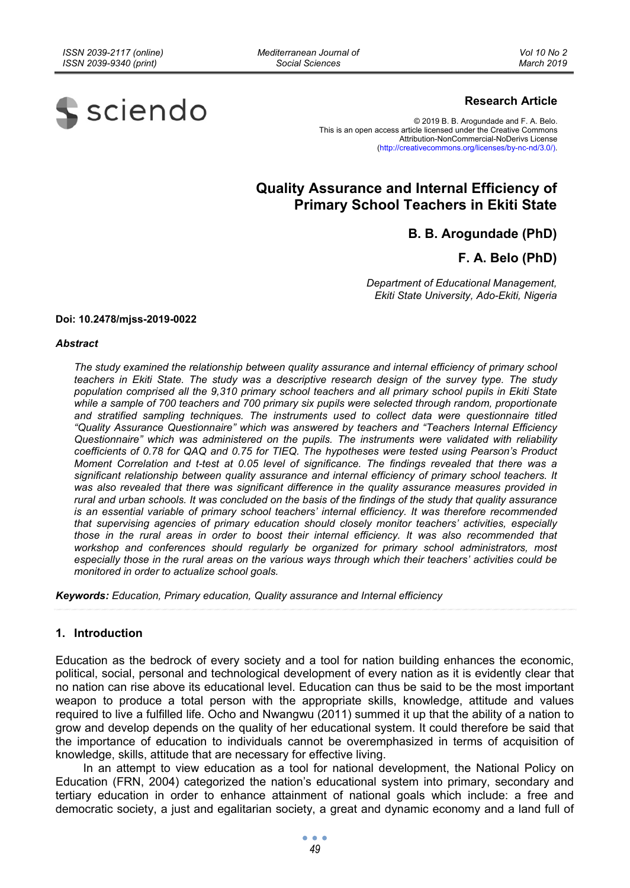*Mediterranean Journal of Social Sciences* 



#### **Research Article**

© 2019 B. B. Arogundade and F. A. Belo. This is an open access article licensed under the Creative Commons Attribution-NonCommercial-NoDerivs License (http://creativecommons.org/licenses/by-nc-nd/3.0/).

# **Quality Assurance and Internal Efficiency of Primary School Teachers in Ekiti State**

## **B. B. Arogundade (PhD)**

**F. A. Belo (PhD)** 

*Department of Educational Management, Ekiti State University, Ado-Ekiti, Nigeria* 

#### **Doi: 10.2478/mjss-2019-0022**

#### *Abstract*

*The study examined the relationship between quality assurance and internal efficiency of primary school teachers in Ekiti State. The study was a descriptive research design of the survey type. The study population comprised all the 9,310 primary school teachers and all primary school pupils in Ekiti State*  while a sample of 700 teachers and 700 primary six pupils were selected through random, proportionate *and stratified sampling techniques. The instruments used to collect data were questionnaire titled "Quality Assurance Questionnaire" which was answered by teachers and "Teachers Internal Efficiency Questionnaire" which was administered on the pupils. The instruments were validated with reliability coefficients of 0.78 for QAQ and 0.75 for TIEQ. The hypotheses were tested using Pearson's Product Moment Correlation and t-test at 0.05 level of significance. The findings revealed that there was a significant relationship between quality assurance and internal efficiency of primary school teachers. It was also revealed that there was significant difference in the quality assurance measures provided in rural and urban schools. It was concluded on the basis of the findings of the study that quality assurance is an essential variable of primary school teachers' internal efficiency. It was therefore recommended that supervising agencies of primary education should closely monitor teachers' activities, especially those in the rural areas in order to boost their internal efficiency. It was also recommended that workshop and conferences should regularly be organized for primary school administrators, most especially those in the rural areas on the various ways through which their teachers' activities could be monitored in order to actualize school goals.* 

*Keywords: Education, Primary education, Quality assurance and Internal efficiency* 

#### **1. Introduction**

Education as the bedrock of every society and a tool for nation building enhances the economic, political, social, personal and technological development of every nation as it is evidently clear that no nation can rise above its educational level. Education can thus be said to be the most important weapon to produce a total person with the appropriate skills, knowledge, attitude and values required to live a fulfilled life. Ocho and Nwangwu (2011) summed it up that the ability of a nation to grow and develop depends on the quality of her educational system. It could therefore be said that the importance of education to individuals cannot be overemphasized in terms of acquisition of knowledge, skills, attitude that are necessary for effective living.

In an attempt to view education as a tool for national development, the National Policy on Education (FRN, 2004) categorized the nation's educational system into primary, secondary and tertiary education in order to enhance attainment of national goals which include: a free and democratic society, a just and egalitarian society, a great and dynamic economy and a land full of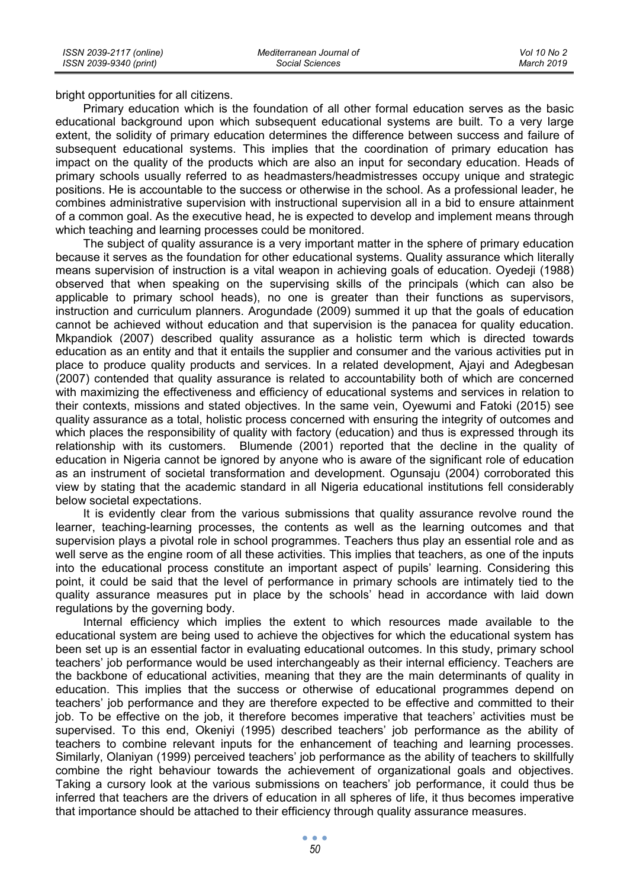bright opportunities for all citizens.

Primary education which is the foundation of all other formal education serves as the basic educational background upon which subsequent educational systems are built. To a very large extent, the solidity of primary education determines the difference between success and failure of subsequent educational systems. This implies that the coordination of primary education has impact on the quality of the products which are also an input for secondary education. Heads of primary schools usually referred to as headmasters/headmistresses occupy unique and strategic positions. He is accountable to the success or otherwise in the school. As a professional leader, he combines administrative supervision with instructional supervision all in a bid to ensure attainment of a common goal. As the executive head, he is expected to develop and implement means through which teaching and learning processes could be monitored.

The subject of quality assurance is a very important matter in the sphere of primary education because it serves as the foundation for other educational systems. Quality assurance which literally means supervision of instruction is a vital weapon in achieving goals of education. Oyedeji (1988) observed that when speaking on the supervising skills of the principals (which can also be applicable to primary school heads), no one is greater than their functions as supervisors, instruction and curriculum planners. Arogundade (2009) summed it up that the goals of education cannot be achieved without education and that supervision is the panacea for quality education. Mkpandiok (2007) described quality assurance as a holistic term which is directed towards education as an entity and that it entails the supplier and consumer and the various activities put in place to produce quality products and services. In a related development, Ajayi and Adegbesan (2007) contended that quality assurance is related to accountability both of which are concerned with maximizing the effectiveness and efficiency of educational systems and services in relation to their contexts, missions and stated objectives. In the same vein, Oyewumi and Fatoki (2015) see quality assurance as a total, holistic process concerned with ensuring the integrity of outcomes and which places the responsibility of quality with factory (education) and thus is expressed through its relationship with its customers. Blumende (2001) reported that the decline in the quality of education in Nigeria cannot be ignored by anyone who is aware of the significant role of education as an instrument of societal transformation and development. Ogunsaju (2004) corroborated this view by stating that the academic standard in all Nigeria educational institutions fell considerably below societal expectations.

It is evidently clear from the various submissions that quality assurance revolve round the learner, teaching-learning processes, the contents as well as the learning outcomes and that supervision plays a pivotal role in school programmes. Teachers thus play an essential role and as well serve as the engine room of all these activities. This implies that teachers, as one of the inputs into the educational process constitute an important aspect of pupils' learning. Considering this point, it could be said that the level of performance in primary schools are intimately tied to the quality assurance measures put in place by the schools' head in accordance with laid down regulations by the governing body.

Internal efficiency which implies the extent to which resources made available to the educational system are being used to achieve the objectives for which the educational system has been set up is an essential factor in evaluating educational outcomes. In this study, primary school teachers' job performance would be used interchangeably as their internal efficiency. Teachers are the backbone of educational activities, meaning that they are the main determinants of quality in education. This implies that the success or otherwise of educational programmes depend on teachers' job performance and they are therefore expected to be effective and committed to their job. To be effective on the job, it therefore becomes imperative that teachers' activities must be supervised. To this end, Okeniyi (1995) described teachers' job performance as the ability of teachers to combine relevant inputs for the enhancement of teaching and learning processes. Similarly, Olaniyan (1999) perceived teachers' job performance as the ability of teachers to skillfully combine the right behaviour towards the achievement of organizational goals and objectives. Taking a cursory look at the various submissions on teachers' job performance, it could thus be inferred that teachers are the drivers of education in all spheres of life, it thus becomes imperative that importance should be attached to their efficiency through quality assurance measures.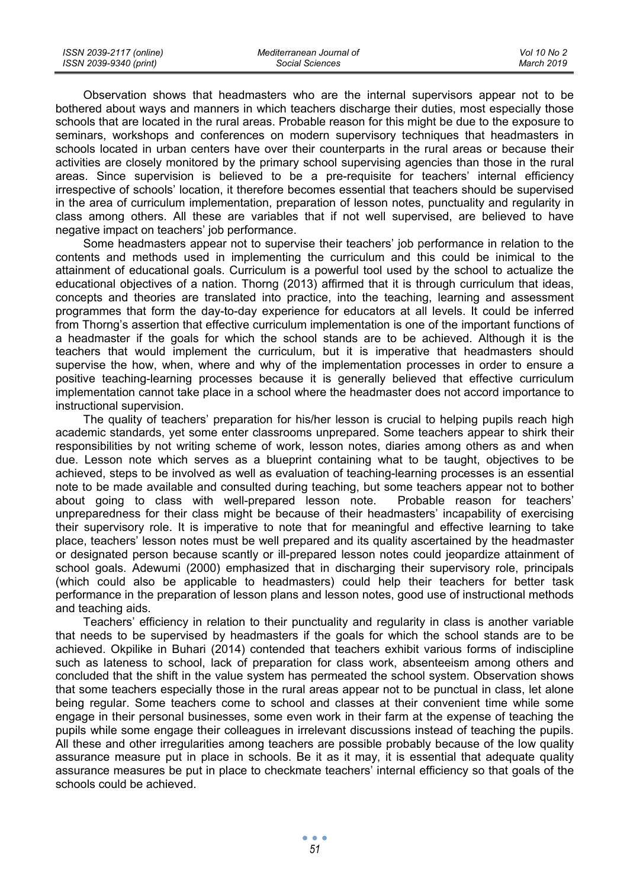| ISSN 2039-2117 (online) | Mediterranean Journal of | Vol 10 No 2 |
|-------------------------|--------------------------|-------------|
| ISSN 2039-9340 (print)  | Social Sciences          | March 2019  |

Observation shows that headmasters who are the internal supervisors appear not to be bothered about ways and manners in which teachers discharge their duties, most especially those schools that are located in the rural areas. Probable reason for this might be due to the exposure to seminars, workshops and conferences on modern supervisory techniques that headmasters in schools located in urban centers have over their counterparts in the rural areas or because their activities are closely monitored by the primary school supervising agencies than those in the rural areas. Since supervision is believed to be a pre-requisite for teachers' internal efficiency irrespective of schools' location, it therefore becomes essential that teachers should be supervised in the area of curriculum implementation, preparation of lesson notes, punctuality and regularity in class among others. All these are variables that if not well supervised, are believed to have negative impact on teachers' job performance.

Some headmasters appear not to supervise their teachers' job performance in relation to the contents and methods used in implementing the curriculum and this could be inimical to the attainment of educational goals. Curriculum is a powerful tool used by the school to actualize the educational objectives of a nation. Thorng (2013) affirmed that it is through curriculum that ideas, concepts and theories are translated into practice, into the teaching, learning and assessment programmes that form the day-to-day experience for educators at all levels. It could be inferred from Thorng's assertion that effective curriculum implementation is one of the important functions of a headmaster if the goals for which the school stands are to be achieved. Although it is the teachers that would implement the curriculum, but it is imperative that headmasters should supervise the how, when, where and why of the implementation processes in order to ensure a positive teaching-learning processes because it is generally believed that effective curriculum implementation cannot take place in a school where the headmaster does not accord importance to instructional supervision.

The quality of teachers' preparation for his/her lesson is crucial to helping pupils reach high academic standards, yet some enter classrooms unprepared. Some teachers appear to shirk their responsibilities by not writing scheme of work, lesson notes, diaries among others as and when due. Lesson note which serves as a blueprint containing what to be taught, objectives to be achieved, steps to be involved as well as evaluation of teaching-learning processes is an essential note to be made available and consulted during teaching, but some teachers appear not to bother about going to class with well-prepared lesson note. Probable reason for teachers' unpreparedness for their class might be because of their headmasters' incapability of exercising their supervisory role. It is imperative to note that for meaningful and effective learning to take place, teachers' lesson notes must be well prepared and its quality ascertained by the headmaster or designated person because scantly or ill-prepared lesson notes could jeopardize attainment of school goals. Adewumi (2000) emphasized that in discharging their supervisory role, principals (which could also be applicable to headmasters) could help their teachers for better task performance in the preparation of lesson plans and lesson notes, good use of instructional methods and teaching aids.

Teachers' efficiency in relation to their punctuality and regularity in class is another variable that needs to be supervised by headmasters if the goals for which the school stands are to be achieved. Okpilike in Buhari (2014) contended that teachers exhibit various forms of indiscipline such as lateness to school, lack of preparation for class work, absenteeism among others and concluded that the shift in the value system has permeated the school system. Observation shows that some teachers especially those in the rural areas appear not to be punctual in class, let alone being regular. Some teachers come to school and classes at their convenient time while some engage in their personal businesses, some even work in their farm at the expense of teaching the pupils while some engage their colleagues in irrelevant discussions instead of teaching the pupils. All these and other irregularities among teachers are possible probably because of the low quality assurance measure put in place in schools. Be it as it may, it is essential that adequate quality assurance measures be put in place to checkmate teachers' internal efficiency so that goals of the schools could be achieved.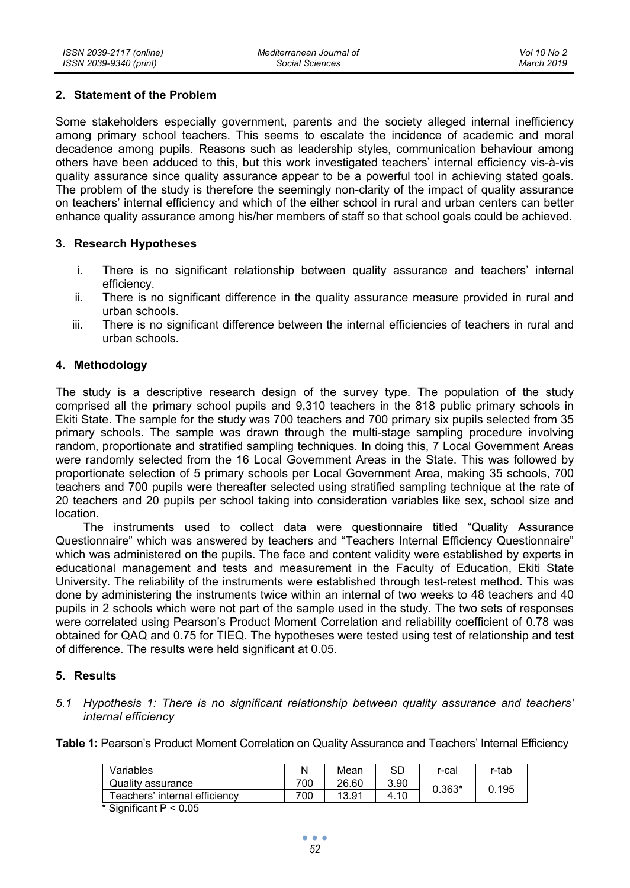#### **2. Statement of the Problem**

Some stakeholders especially government, parents and the society alleged internal inefficiency among primary school teachers. This seems to escalate the incidence of academic and moral decadence among pupils. Reasons such as leadership styles, communication behaviour among others have been adduced to this, but this work investigated teachers' internal efficiency vis-à-vis quality assurance since quality assurance appear to be a powerful tool in achieving stated goals. The problem of the study is therefore the seemingly non-clarity of the impact of quality assurance on teachers' internal efficiency and which of the either school in rural and urban centers can better enhance quality assurance among his/her members of staff so that school goals could be achieved.

### **3. Research Hypotheses**

- i. There is no significant relationship between quality assurance and teachers' internal efficiency.
- ii. There is no significant difference in the quality assurance measure provided in rural and urban schools.
- iii. There is no significant difference between the internal efficiencies of teachers in rural and urban schools.

### **4. Methodology**

The study is a descriptive research design of the survey type. The population of the study comprised all the primary school pupils and 9,310 teachers in the 818 public primary schools in Ekiti State. The sample for the study was 700 teachers and 700 primary six pupils selected from 35 primary schools. The sample was drawn through the multi-stage sampling procedure involving random, proportionate and stratified sampling techniques. In doing this, 7 Local Government Areas were randomly selected from the 16 Local Government Areas in the State. This was followed by proportionate selection of 5 primary schools per Local Government Area, making 35 schools, 700 teachers and 700 pupils were thereafter selected using stratified sampling technique at the rate of 20 teachers and 20 pupils per school taking into consideration variables like sex, school size and location.

The instruments used to collect data were questionnaire titled "Quality Assurance Questionnaire" which was answered by teachers and "Teachers Internal Efficiency Questionnaire" which was administered on the pupils. The face and content validity were established by experts in educational management and tests and measurement in the Faculty of Education, Ekiti State University. The reliability of the instruments were established through test-retest method. This was done by administering the instruments twice within an internal of two weeks to 48 teachers and 40 pupils in 2 schools which were not part of the sample used in the study. The two sets of responses were correlated using Pearson's Product Moment Correlation and reliability coefficient of 0.78 was obtained for QAQ and 0.75 for TIEQ. The hypotheses were tested using test of relationship and test of difference. The results were held significant at 0.05.

#### **5. Results**

*5.1 Hypothesis 1: There is no significant relationship between quality assurance and teachers' internal efficiency* 

**Table 1:** Pearson's Product Moment Correlation on Quality Assurance and Teachers' Internal Efficiency

| Variables                        |     | Mean  | SD   | r-cal    | r-tab |  |
|----------------------------------|-----|-------|------|----------|-------|--|
| Quality assurance                | 700 | 26.60 | 3.90 | $0.363*$ | 0.195 |  |
| Teachers' internal efficiency    | 700 | 13.91 | 4.10 |          |       |  |
| * Cianificant $D \ge 0$ $\Omega$ |     |       |      |          |       |  |

Significant  $P < 0.05$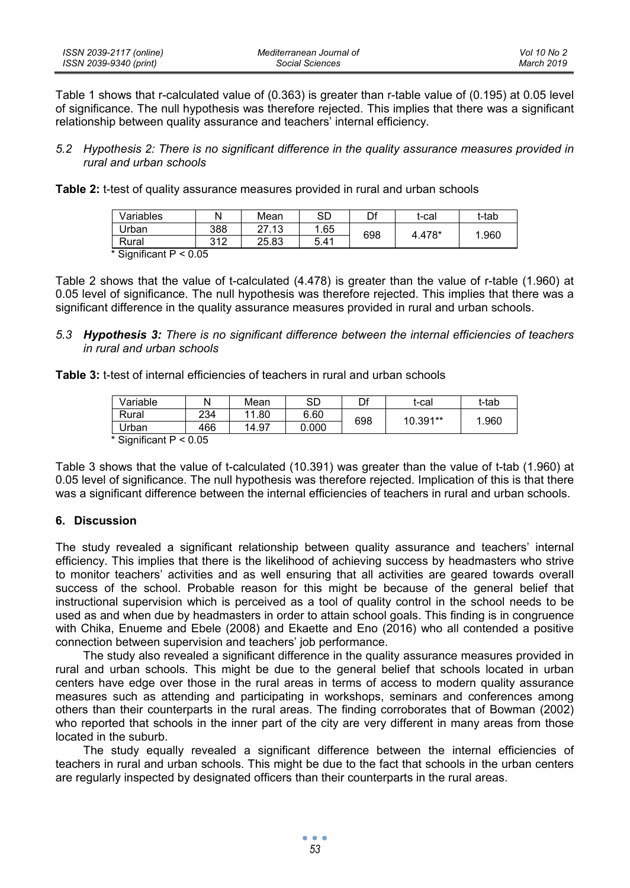| ISSN 2039-2117 (online) | Mediterranean Journal of | Vol 10 No 2 |
|-------------------------|--------------------------|-------------|
| ISSN 2039-9340 (print)  | Social Sciences          | March 2019  |

Table 1 shows that r-calculated value of (0.363) is greater than r-table value of (0.195) at 0.05 level of significance. The null hypothesis was therefore rejected. This implies that there was a significant relationship between quality assurance and teachers' internal efficiency.

- *5.2 Hypothesis 2: There is no significant difference in the quality assurance measures provided in rural and urban schools*
- **Table 2:** t-test of quality assurance measures provided in rural and urban schools

| Variables                    |     | Mean  | SD   | Df  | t-cal  | t-tab |  |
|------------------------------|-----|-------|------|-----|--------|-------|--|
| Urban                        | 388 | 27.13 | .65  | 698 | 4.478* | .960  |  |
| Rural                        | 312 | 25.83 | 5.41 |     |        |       |  |
| $*$ Cianificant $D \ge 0$ OF |     |       |      |     |        |       |  |

Significant  $P < 0.05$ 

Table 2 shows that the value of t-calculated (4.478) is greater than the value of r-table (1.960) at 0.05 level of significance. The null hypothesis was therefore rejected. This implies that there was a significant difference in the quality assurance measures provided in rural and urban schools.

*5.3 Hypothesis 3: There is no significant difference between the internal efficiencies of teachers in rural and urban schools* 

**Table 3:** t-test of internal efficiencies of teachers in rural and urban schools

| Variable                   |     | Mean  | SD    | Df  | t-cal    | t-tab |
|----------------------------|-----|-------|-------|-----|----------|-------|
| Rural                      | 234 | 11.80 | 6.60  | 698 | 10.391** | .960  |
| Urban                      | 466 | 14.97 | 0.000 |     |          |       |
| * Cianificant $D \ge 0$ 05 |     |       |       |     |          |       |

Significant  $P < 0.05$ 

Table 3 shows that the value of t-calculated (10.391) was greater than the value of t-tab (1.960) at 0.05 level of significance. The null hypothesis was therefore rejected. Implication of this is that there was a significant difference between the internal efficiencies of teachers in rural and urban schools.

#### **6. Discussion**

The study revealed a significant relationship between quality assurance and teachers' internal efficiency. This implies that there is the likelihood of achieving success by headmasters who strive to monitor teachers' activities and as well ensuring that all activities are geared towards overall success of the school. Probable reason for this might be because of the general belief that instructional supervision which is perceived as a tool of quality control in the school needs to be used as and when due by headmasters in order to attain school goals. This finding is in congruence with Chika, Enueme and Ebele (2008) and Ekaette and Eno (2016) who all contended a positive connection between supervision and teachers' job performance.

The study also revealed a significant difference in the quality assurance measures provided in rural and urban schools. This might be due to the general belief that schools located in urban centers have edge over those in the rural areas in terms of access to modern quality assurance measures such as attending and participating in workshops, seminars and conferences among others than their counterparts in the rural areas. The finding corroborates that of Bowman (2002) who reported that schools in the inner part of the city are very different in many areas from those located in the suburb.

The study equally revealed a significant difference between the internal efficiencies of teachers in rural and urban schools. This might be due to the fact that schools in the urban centers are regularly inspected by designated officers than their counterparts in the rural areas.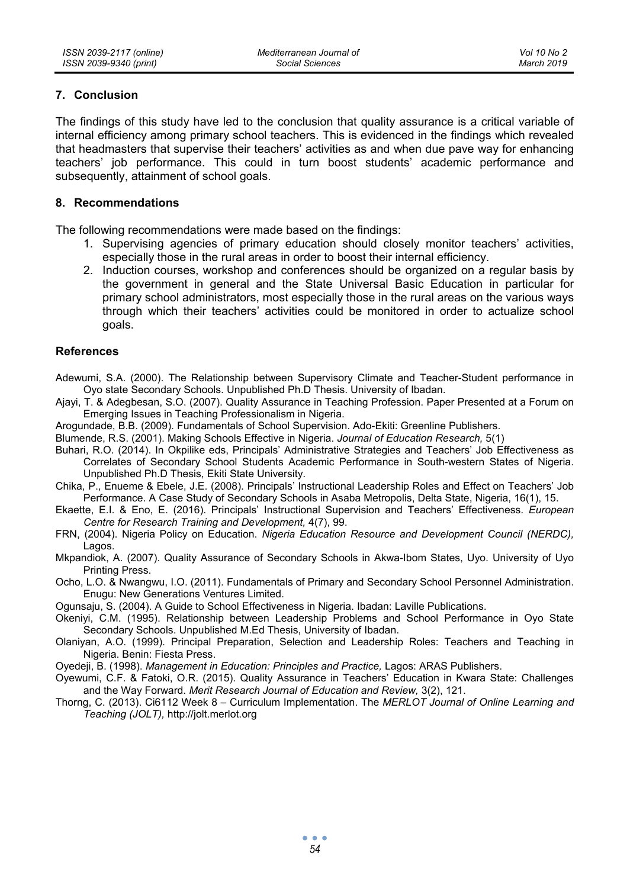### **7. Conclusion**

The findings of this study have led to the conclusion that quality assurance is a critical variable of internal efficiency among primary school teachers. This is evidenced in the findings which revealed that headmasters that supervise their teachers' activities as and when due pave way for enhancing teachers' job performance. This could in turn boost students' academic performance and subsequently, attainment of school goals.

### **8. Recommendations**

The following recommendations were made based on the findings:

- 1. Supervising agencies of primary education should closely monitor teachers' activities, especially those in the rural areas in order to boost their internal efficiency.
- 2. Induction courses, workshop and conferences should be organized on a regular basis by the government in general and the State Universal Basic Education in particular for primary school administrators, most especially those in the rural areas on the various ways through which their teachers' activities could be monitored in order to actualize school goals.

#### **References**

Adewumi, S.A. (2000). The Relationship between Supervisory Climate and Teacher-Student performance in Oyo state Secondary Schools. Unpublished Ph.D Thesis. University of Ibadan.

Ajayi, T. & Adegbesan, S.O. (2007). Quality Assurance in Teaching Profession. Paper Presented at a Forum on Emerging Issues in Teaching Professionalism in Nigeria.

Arogundade, B.B. (2009). Fundamentals of School Supervision. Ado-Ekiti: Greenline Publishers.

Blumende, R.S. (2001). Making Schools Effective in Nigeria. *Journal of Education Research,* 5(1)

Buhari, R.O. (2014). In Okpilike eds, Principals' Administrative Strategies and Teachers' Job Effectiveness as Correlates of Secondary School Students Academic Performance in South-western States of Nigeria. Unpublished Ph.D Thesis, Ekiti State University.

Chika, P., Enueme & Ebele, J.E. (2008). Principals' Instructional Leadership Roles and Effect on Teachers' Job Performance. A Case Study of Secondary Schools in Asaba Metropolis, Delta State, Nigeria, 16(1), 15.

Ekaette, E.I. & Eno, E. (2016). Principals' Instructional Supervision and Teachers' Effectiveness. *European Centre for Research Training and Development,* 4(7), 99.

- FRN, (2004). Nigeria Policy on Education. *Nigeria Education Resource and Development Council (NERDC),* Lagos.
- Mkpandiok, A. (2007). Quality Assurance of Secondary Schools in Akwa-Ibom States, Uyo. University of Uyo Printing Press.
- Ocho, L.O. & Nwangwu, I.O. (2011). Fundamentals of Primary and Secondary School Personnel Administration. Enugu: New Generations Ventures Limited.

Ogunsaju, S. (2004). A Guide to School Effectiveness in Nigeria. Ibadan: Laville Publications.

- Okeniyi, C.M. (1995). Relationship between Leadership Problems and School Performance in Oyo State Secondary Schools. Unpublished M.Ed Thesis, University of Ibadan.
- Olaniyan, A.O. (1999). Principal Preparation, Selection and Leadership Roles: Teachers and Teaching in Nigeria. Benin: Fiesta Press.
- Oyedeji, B. (1998). *Management in Education: Principles and Practice,* Lagos: ARAS Publishers.
- Oyewumi, C.F. & Fatoki, O.R. (2015). Quality Assurance in Teachers' Education in Kwara State: Challenges and the Way Forward. *Merit Research Journal of Education and Review,* 3(2), 121.
- Thorng, C. (2013). Ci6112 Week 8 Curriculum Implementation. The *MERLOT Journal of Online Learning and Teaching (JOLT),* http://jolt.merlot.org